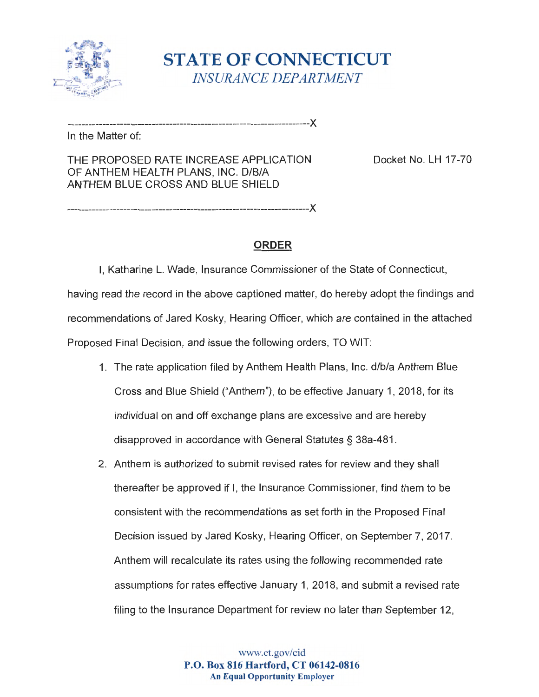

**STATE OF CONNECTICUT** *INSURANCE DEPARTMENT* 

---------------------------------------------------------------------><

In the Matter of:

THE PROPOSED RATE INCREASE APPLICATION Docket No. LH 17-70 OF ANTHEM HEALTH PLANS, INC. D/B/A ANTHEM BLUE CROSS AND BLUE SHIELD

---------------------------------------------------------------------><

# **ORDER**

I, Katharine L. Wade, Insurance Commissioner of the State of Connecticut, having read the record in the above captioned matter, do hereby adopt the findings and recommendations of Jared Kosky, Hearing Officer, which are contained in the attached Proposed Final Decision, and issue the following orders, TO WIT:

- 1. The rate application filed by Anthem Health Plans, Inc. d/b/a Anthem Blue Cross and Blue Shield ("Anthem"), to be effective January 1, 2018 , for its individual on and off exchange plans are excessive and are hereby disapproved in accordance with General Statutes§ 38a-481.
- 2. Anthem is authorized to submit revised rates for review and they shall thereafter be approved if I, the Insurance Commissioner, find them to be consistent with the recommendations as set forth in the Proposed Final Decision issued by Jared Kosky, Hearing Officer, on September 7, 2017. Anthem will recalculate its rates using the following recommended rate assumptions for rates effective January 1, 2018, and submit a revised rate filing to the Insurance Department for review no later than September 12,

www.ct.gov/cid **P.O. Box 816 Hartford, CT 06142-0816 An Equal Opportunity Employer**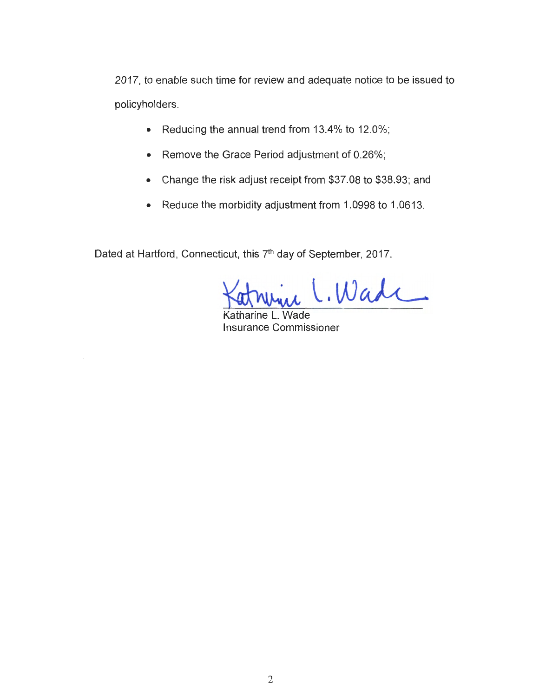2017 , to enable such time for review and adequate notice to be issued to policyholders .

- Reducing the annual trend from 13.4% to 12.0%;
- Remove the Grace Period adjustment of 0.26% ;
- Change the risk adjust receipt from \$37 .08 to \$38.93 ; and
- Reduce the morbidity adjustment from 1.0998 to 1.0613.

Dated at Hartford, Connecticut, this 7<sup>th</sup> day of September, 2017.

.Wade

Katharine L. Wade Insurance Commissioner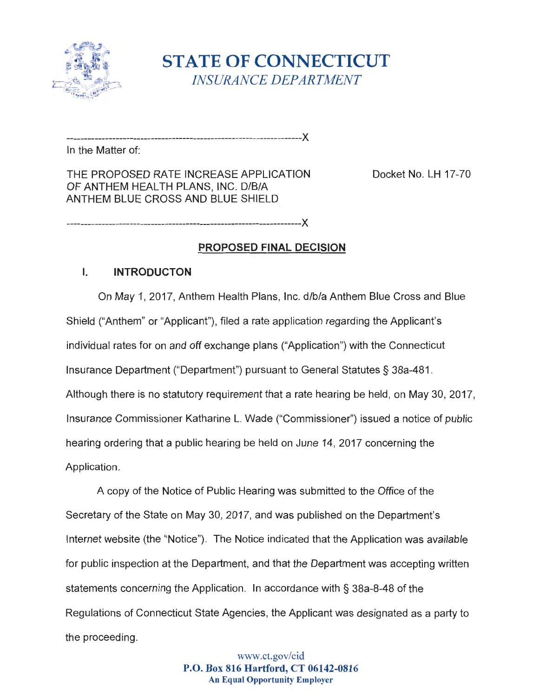

**STATE OF CONNECTICUT** *INSURANCE DEPARTMENT* 

In the Matter of:

THE PROPOSED RATE INCREASE APPLICATION Docket No. LH 17-70 OF ANTHEM HEALTH PLANS, INC. D/B/A ANTHEM BLUE CROSS AND BLUE SHIELD

-------------------------------------------------------------------)(

-------------------------------------------------------------------)(

### **PROPOSED FINAL DECISION**

### I. **INTRODUCTON**

On May 1, 2017 , Anthem Health Plans , Inc. d/b/a Anthem Blue Cross and Blue Shield ("Anthem" or "Applicant"), filed a rate application regarding the Applicant's individual rates for on and off exchange plans ("Application") with the Connecticut Insurance Department ("Department") pursuant to General Statutes§ 38a-481. Although there is no statutory requirement that a rate hearing be held, on May 30, 2017, Insurance Commissioner Katharine L. Wade ("Commissioner") issued a notice of public hearing ordering that a public hearing be held on June 14, 2017 concerning the Application.

A copy of the Notice of Public Hearing was submitted to the Office of the Secretary of the State on May 30 , 2017, and was published on the Department's Internet website (the "Notice"). The Notice indicated that the Application was available for public inspection at the Department, and that the Department was accepting written statements concerning the Application . In accordance with§ 38a-8-48 of the Regulations of Connecticut State Agencies , the Applicant was designated as a party to the proceeding.

> www.ct.gov/cid **P.O. Box 816 Hartford, CT 06142-0816 An Equal Opportunity Employer**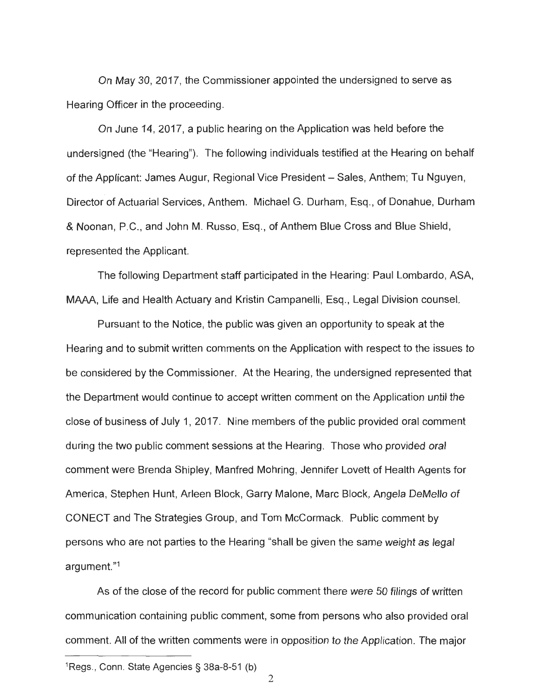On May 30, 2017, the Commissioner appointed the undersigned to serve as Hearing Officer in the proceeding.

On June 14 , 2017 , a public hearing on the Application was held before the undersigned (the "Hearing"). The following individuals testified at the Hearing on behalf of the Applicant: James Augur, Regional Vice President - Sales, Anthem; Tu Nguyen, Director of Actuarial Services, Anthem. Michael G. Durham, Esq., of Donahue, Durham & Noonan, P.C., and John M. Russo, Esq., of Anthem Blue Cross and Blue Shield, represented the Applicant.

The following Department staff participated in the Hearing: Paul Lombardo , ASA, MAAA, Life and Health Actuary and Kristin Campanelli, Esq ., Legal Division counsel.

Pursuant to the Notice, the public was given an opportunity to speak at the Hearing and to submit written comments on the Application with respect to the issues to be considered by the Commissioner. At the Hearing, the undersigned represented that the Department would continue to accept written comment on the Application until the close of business of July 1, 2017 . Nine members of the public provided oral comment during the two public comment sessions at the Hearing. Those who provided oral comment were Brenda Shipley, Manfred Mohring, Jennifer Lovet of Health Agents for America, Stephen Hunt, Arleen Block, Garry Malone, Marc Block, Angela DeMello of CONECT and The Strategies Group , and Tom McCormack. Public comment by persons who are not parties to the Hearing "shall be given the same weight as legal argument. "<sup>1</sup>

As of the close of the record for public comment there were 50 filings of written communication containing public comment, some from persons who also provided oral comment. All of the written comments were in opposition to the Application. The major

<sup>1</sup>Regs ., Conn. State Agencies§ 38a-8-51 (b)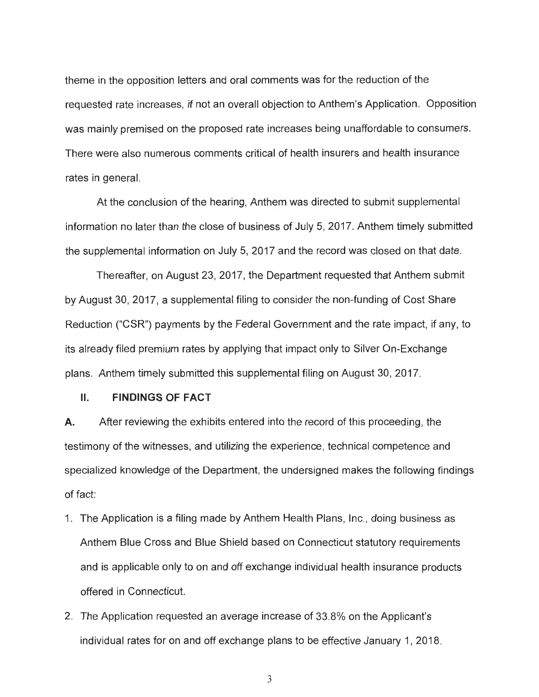theme in the opposition letters and oral comments was for the reduction of the requested rate increases , if not an overall objection to Anthem 's Application . Opposition was mainly premised on the proposed rate increases being unaffordable to consumers . There were also numerous comments critical of health insurers and health insurance rates in general.

At the conclusion of the hearing , Anthem was directed to submit supplemental information no later than the close of business of July 5, 2017 . Anthem timely submitted the supplemental information on July 5, 2017 and the record was closed on that date .

Thereafter, on August 23, 2017, the Department requested that Anthem submit by August 30, 2017, a supplemental filing to consider the non-funding of Cost Share Reduction ("CSR") payments by the Federal Government and the rate impact, if any, to its already filed premium rates by applying that impact only to Silver On-Exchange plans. Anthem timely submitted this supplemental filing on August 30, 2017.

#### II. **FINDINGS OF FACT**

**A.** After reviewing the exhibits entered into the record of this proceeding, the testimony of the witnesses , and utilizing the experience , technical competence and specialized knowledge of the Department, the undersigned makes the following findings of fact:

- 1. The Application is a filing made by Anthem Health Plans, Inc., doing business as Anthem Blue Cross and Blue Shield based on Connecticut statutory requirements and is applicable only to on and off exchange individual health insurance products offered in Connecticut.
- 2. The Application requested an average increase of 33.8% on the Applicant's individual rates for on and off exchange plans to be effective January 1, 2018.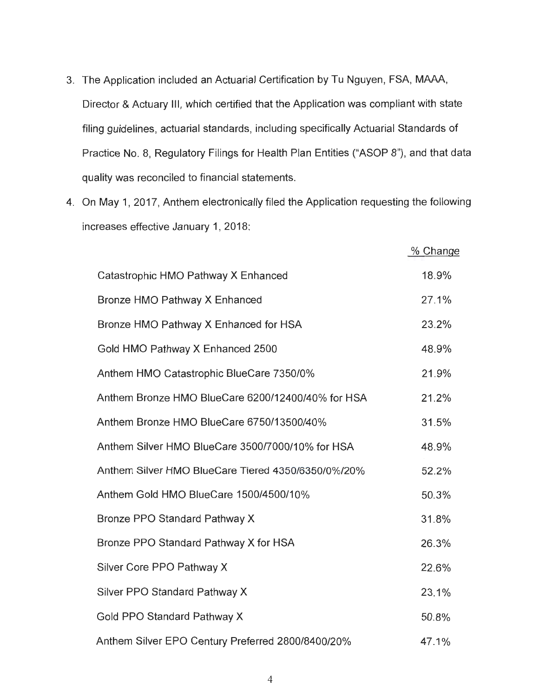- 3. The Application included an Actuarial Certification by Tu Nguyen , FSA, MAAA, Director & Actuary III, which certified that the Application was compliant with state filing guidelines, actuarial standards, including specifically Actuarial Standards of Practice No. 8, Regulatory Filings for Health Plan Entities ("ASOP 8"), and that data quality was reconciled to financial statements .
- 4. On May 1, 2017 , Anthem electronically filed the Application requesting the following increases effective January 1, 2018:

|                                                    | % Change |
|----------------------------------------------------|----------|
| Catastrophic HMO Pathway X Enhanced                | 18.9%    |
| Bronze HMO Pathway X Enhanced                      | 27.1%    |
| Bronze HMO Pathway X Enhanced for HSA              | 23.2%    |
| Gold HMO Pathway X Enhanced 2500                   | 48.9%    |
| Anthem HMO Catastrophic BlueCare 7350/0%           | 21.9%    |
| Anthem Bronze HMO BlueCare 6200/12400/40% for HSA  | 21.2%    |
| Anthem Bronze HMO BlueCare 6750/13500/40%          | 31.5%    |
| Anthem Silver HMO BlueCare 3500/7000/10% for HSA   | 48.9%    |
| Anthem Silver HMO BlueCare Tiered 4350/6350/0%/20% | 52.2%    |
| Anthem Gold HMO BlueCare 1500/4500/10%             | 50.3%    |
| Bronze PPO Standard Pathway X                      | 31.8%    |
| Bronze PPO Standard Pathway X for HSA              | 26.3%    |
| Silver Core PPO Pathway X                          | 22.6%    |
| Silver PPO Standard Pathway X                      | 23.1%    |
| Gold PPO Standard Pathway X                        | 50.8%    |
| Anthem Silver EPO Century Preferred 2800/8400/20%  | 47.1%    |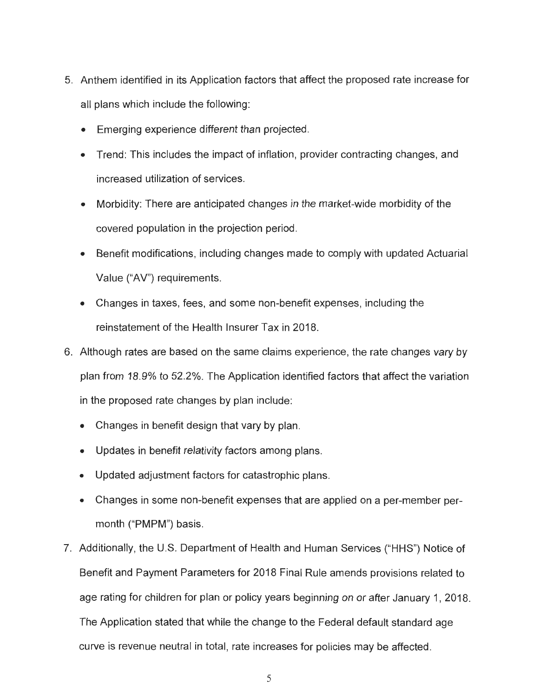- 5. Anthem identified in its Application factors that affect the proposed rate increase for all plans which include the following:
	- Emerging experience different than projected.
	- Trend: This includes the impact of inflation, provider contracting changes, and increased utilization of services.
	- Morbidity: There are anticipated changes in the market-wide morbidity of the covered population in the projection period .
	- Benefit modifications, including changes made to comply with updated Actuarial Value ("AV") requirements .
	- Changes in taxes, fees, and some non-benefit expenses, including the reinstatement of the Health Insurer Tax in 2018.
- 6. Although rates are based on the same claims experience, the rate changes vary by plan from 18.9% to 52.2% . The Application identified factors that affect the variation in the proposed rate changes by plan include:
	- Changes in benefit design that vary by plan.
	- Updates in benefit relativity factors among plans.
	- Updated adjustment factors for catastrophic plans.
	- Changes in some non-benefit expenses that are applied on a per-member permonth ("PMPM") basis.
- 7. Additionally , the U.S. Department of Health and Human Services ("HHS") Notice of Benefit and Payment Parameters for 2018 Final Rule amends provisions related to age rating for children for plan or policy years beginning on or after January 1, 2018. The Application stated that while the change to the Federal default standard age curve is revenue neutral in total, rate increases for policies may be affected.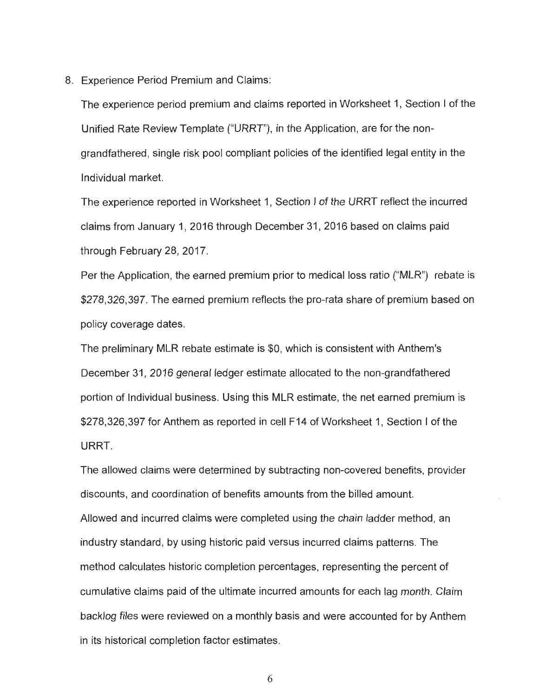8. Experience Period Premium and Claims:

The experience period premium and claims reported in Worksheet 1, Section I of the Unified Rate Review Template ("URRT"), in the Application, are for the nongrandfathered, single risk pool compliant policies of the identified legal entity in the Ind ividual market.

The experience reported in Worksheet 1, Section I of the URRT reflect the incurred claims from January 1, 2016 through December 31 , 2016 based on claims paid through February 28, 2017 .

Per the Application, the earned premium prior to medical loss ratio ("MLR") rebate is \$278,326,397. The earned premium reflects the pro-rata share of premium based on policy coverage dates.

The preliminary MLR rebate estimate is \$0 , which is consistent with Anthem's December 31, 2016 general ledger estimate allocated to the non-grandfathered portion of Individual business. Using this MLR estimate, the net earned premium is \$278 ,326 ,397 for Anthem as reported in cell F14 of Worksheet 1, Section I of the URRT.

The allowed claims were determined by subtracting non-covered benefits, provider discounts , and coordination of benefits amounts from the billed amount. Allowed and incurred claims were completed using the chain ladder method, an industry standard, by using historic paid versus incurred claims patterns. The method calculates historic completion percentages, representing the percent of cumulative claims paid of the ultimate incurred amounts for each lag month. Claim backlog files were reviewed on a monthly basis and were accounted for by Anthem in its historical completion factor estimates .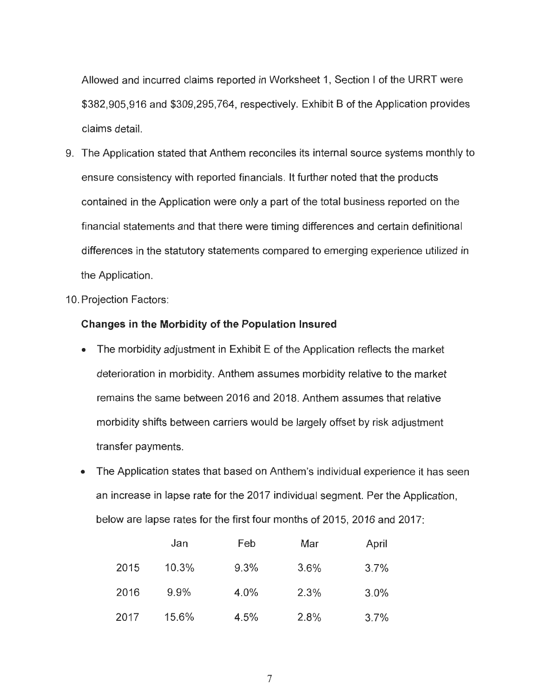Allowed and incurred claims reported in Worksheet 1, Section I of the URRT were \$382 ,905 ,916 and \$309,295,764, respectively. Exhibit B of the Application provides claims detail.

- 9. The Application stated that Anthem reconciles its internal source systems monthly to ensure consistency with reported financials. It further noted that the products contained in the Application were only a part of the total business reported on the financial statements and that there were timing differences and certain definitional differences in the statutory statements compared to emerging experience utilized in the Application.
- 10. Projection Factors :

#### **Changes in the Morbidity of the Population Insured**

- The morbidity adjustment in Exhibit E of the Application reflects the market deterioration in morbidity. Anthem assumes morbidity relative to the market remains the same between 2016 and 2018 . Anthem assumes that relative morbidity shifts between carriers would be largely offset by risk adjustment transfer payments .
- The Application states that based on Anthem's individual experience it has seen an increase in lapse rate for the 2017 individual segment. Per the Application , below are lapse rates for the first four months of 2015 , 2016 and 2017:

|      | Jan   | Feb  | Mar  | April |
|------|-------|------|------|-------|
| 2015 | 10.3% | 9.3% | 3.6% | 3.7%  |
| 2016 | 9.9%  | 4.0% | 2.3% | 3.0%  |
| 2017 | 15.6% | 4.5% | 2.8% | 3.7%  |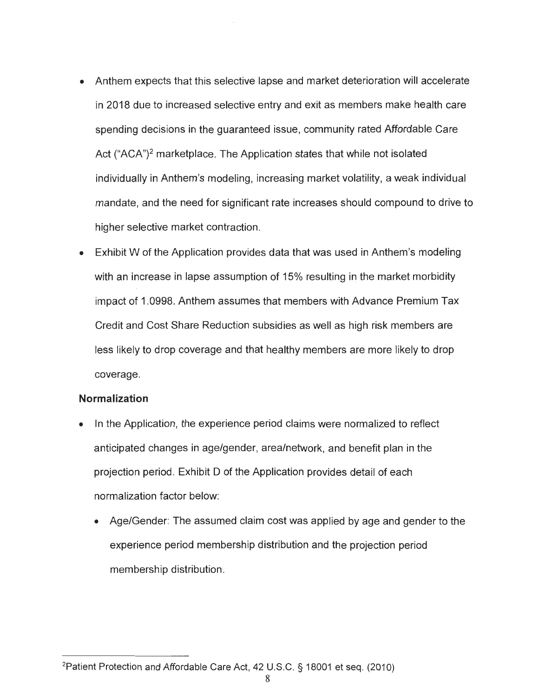- Anthem expects that this selective lapse and market deterioration will accelerate in 2018 due to increased selective entry and exit as members make health care spending decisions in the guaranteed issue , community rated Affordable Care Act ("ACA")<sup>2</sup> marketplace. The Application states that while not isolated individually in Anthem's modeling, increasing market volatility, a weak individual mandate, and the need for significant rate increases should compound to drive to higher selective market contraction.
- Exhibit W of the Application provides data that was used in Anthem's modeling with an increase in lapse assumption of 15% resulting in the market morbidity impact of 1.0998. Anthem assumes that members with Advance Premium Tax Credit and Cost Share Reduction subsidies as well as high risk members are less likely to drop coverage and that healthy members are more likely to drop coverage.

### **Normalization**

- In the Application, the experience period claims were normalized to reflect anticipated changes in age/gender, area/network, and benefit plan in the projection period . Exhibit D of the Application provides detail of each normalization factor below:
	- Age/Gender: The assumed claim cost was applied by age and gender to the experience period membership distribution and the projection period membership distribution.

<sup>&</sup>lt;sup>2</sup> Patient Protection and Affordable Care Act, 42 U.S.C. § 18001 et seq. (2010)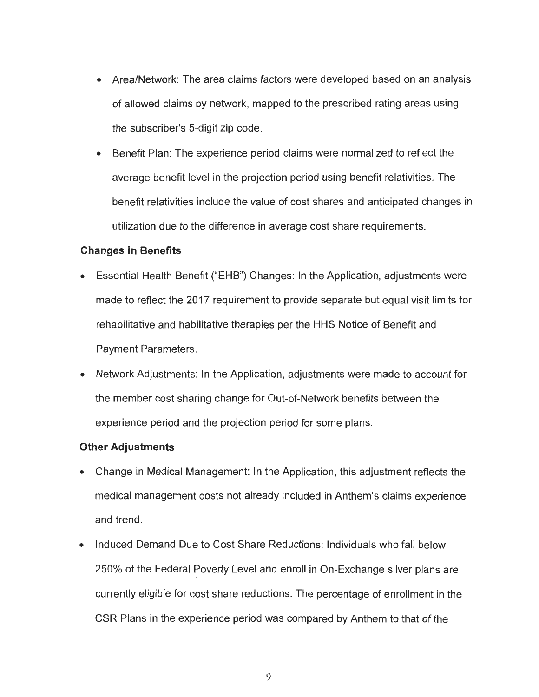- Area/Network: The area claims factors were developed based on an analysis of allowed claims by network , mapped to the prescribed rating areas using the subscriber's 5-digit zip code.
- Benefit Plan: The experience period claims were normalized to reflect the average benefit level in the projection period using benefit relativities . The benefit relativities include the value of cost shares and anticipated changes in utilization due to the difference in average cost share requirements.

## **Changes in Benefits**

- Essential Health Benefit ("EHB") Changes: In the Application, adjustments were made to reflect the 2017 requirement to provide separate but equal visit limits for rehabilitative and habilitative therapies per the HHS Notice of Benefit and Payment Parameters.
- Network Adjustments: In the Application, adjustments were made to account for the member cost sharing change for Out-of-Network benefits between the experience period and the projection period for some plans.

# **Other Adjustments**

- Change in Medical Management: In the Application, this adjustment reflects the medical management costs not already included in Anthem's claims experience and trend.
- Induced Demand Due to Cost Share Reductions: Individuals who fall below 250% of the Federal Poverty Level and enroll in On-Exchange silver plans are currently eligible for cost share reductions . The percentage of enrollment in the CSR Plans in the experience period was compared by Anthem to that of the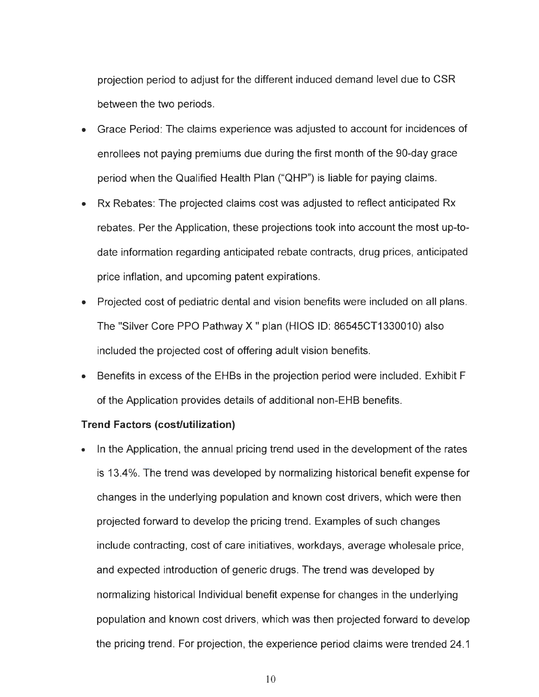projection period to adjust for the different induced demand level due to CSR between the two periods .

- Grace Period: The claims experience was adjusted to account for incidences of enrollees not paying premiums due during the first month of the 90-day grace period when the Qualified Health Plan ("QHP") is liable for paying claims.
- **EX Rebates: The projected claims cost was adjusted to reflect anticipated Rx** rebates. Per the Application, these projections took into account the most up-todate information regarding anticipated rebate contracts , drug prices , anticipated price inflation, and upcoming patent expirations.
- Projected cost of pediatric dental and vision benefits were included on all plans. The "Silver Core PPO Pathway X" plan (HIOS ID: 86545CT1330010) also included the projected cost of offering adult vision benefits.
- Benefits in excess of the EHBs in the projection period were included. Exhibit F of the Application provides details of additional non-EHB benefits .

### **Trend Factors (cost/utilization)**

In the Application, the annual pricing trend used in the development of the rates is 13.4%. The trend was developed by normalizing historical benefit expense for changes in the underlying population and known cost drivers , which were then projected forward to develop the pricing trend . Examples of such changes include contracting, cost of care initiatives, workdays, average wholesale price, and expected introduction of generic drugs . The trend was developed by normalizing historical Individual benefit expense for changes in the underlying population and known cost drivers , which was then projected forward to develop the pricing trend. For projection, the experience period claims were trended 24.1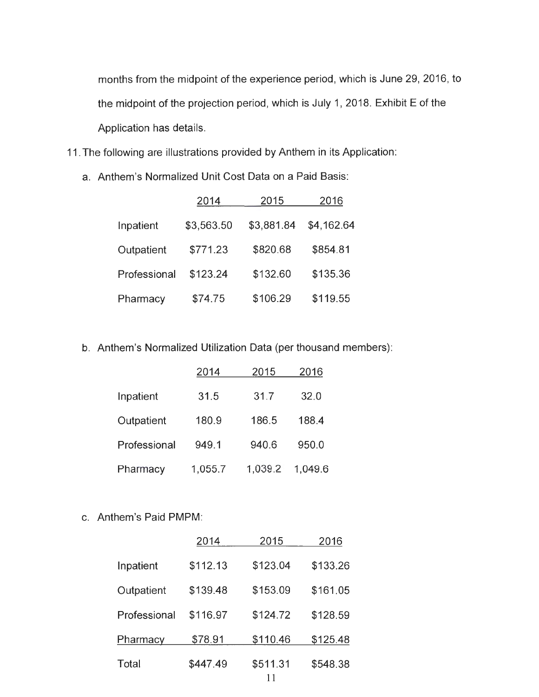months from the midpoint of the experience period, which is June 29, 2016, to the midpoint of the projection period, which is July 1, 2018. Exhibit E of the Application has details.

- 11 . The following are illustrations provided by Anthem in its Application :
	- a. Anthem 's Normalized Unit Cost Data on a Paid Basis:

|              | 2014       | 2015       | 2016       |
|--------------|------------|------------|------------|
| Inpatient    | \$3,563.50 | \$3,881.84 | \$4,162.64 |
| Outpatient   | \$771.23   | \$820.68   | \$854.81   |
| Professional | \$123.24   | \$132.60   | \$135.36   |
| Pharmacy     | \$74.75    | \$106.29   | \$119.55   |

b. Anthem's Normalized Utilization Data (per thousand members):

|              | 2014    | 2015    | 2016    |
|--------------|---------|---------|---------|
| Inpatient    | 31.5    | 31.7    | 32.0    |
| Outpatient   | 180.9   | 186.5   | 188.4   |
| Professional | 949.1   | 940.6   | 950.0   |
| Pharmacy     | 1,055.7 | 1,039.2 | 1,049.6 |

### c. Anthem's Paid PMPM:

|              | 2014     | 2015           | 2016     |
|--------------|----------|----------------|----------|
| Inpatient    | \$112.13 | \$123.04       | \$133.26 |
| Outpatient   | \$139.48 | \$153.09       | \$161.05 |
| Professional | \$116.97 | \$124.72       | \$128.59 |
| Pharmacy     | \$78.91  | \$110.46       | \$125.48 |
| Total        | \$447.49 | \$511.31<br>11 | \$548.38 |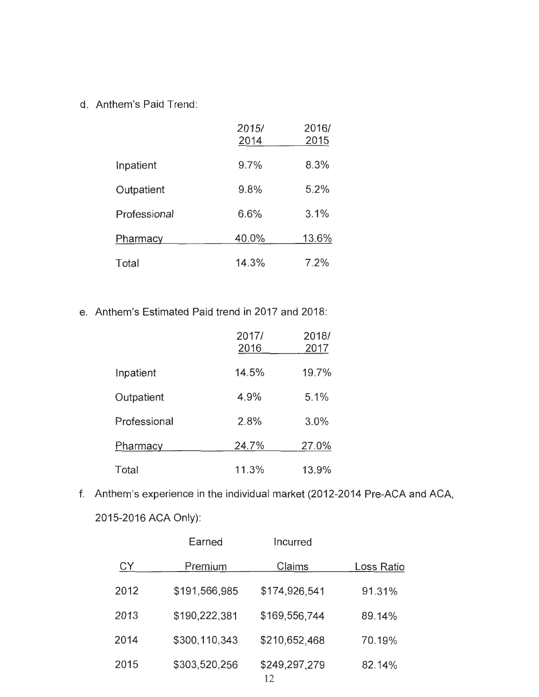d. Anthem's Paid Trend:

|              | 2015/<br>2014 | 2016/<br>2015 |
|--------------|---------------|---------------|
| Inpatient    | 9.7%          | 8.3%          |
| Outpatient   | 9.8%          | 5.2%          |
| Professional | 6.6%          | 3.1%          |
| Pharmacy     | 40.0%         | 13.6%         |
| Total        | 14.3%         | 7.2%          |

e. Anthem's Estimated Paid trend in 2017 and 2018:

|              | 2017/<br>2016 | 2018/<br>2017 |
|--------------|---------------|---------------|
| Inpatient    | 14.5%         | 19.7%         |
| Outpatient   | 4.9%          | 5.1%          |
| Professional | 2.8%          | 3.0%          |
| Pharmacy     | 24.7%         | 27.0%         |
| Total        | 11.3%         | 13.9%         |

f. Anthem's experience in the individual market (2012-2014 Pre-ACA and ACA, 2015-2016 ACA Only):

|           | Earned        | Incurred            |            |
|-----------|---------------|---------------------|------------|
| <b>CY</b> | Premium       | Claims              | Loss Ratio |
| 2012      | \$191,566,985 | \$174,926,541       | 91.31%     |
| 2013      | \$190,222,381 | \$169,556,744       | 89.14%     |
| 2014      | \$300,110,343 | \$210,652,468       | 70.19%     |
| 2015      | \$303,520,256 | \$249,297,279<br>12 | 82.14%     |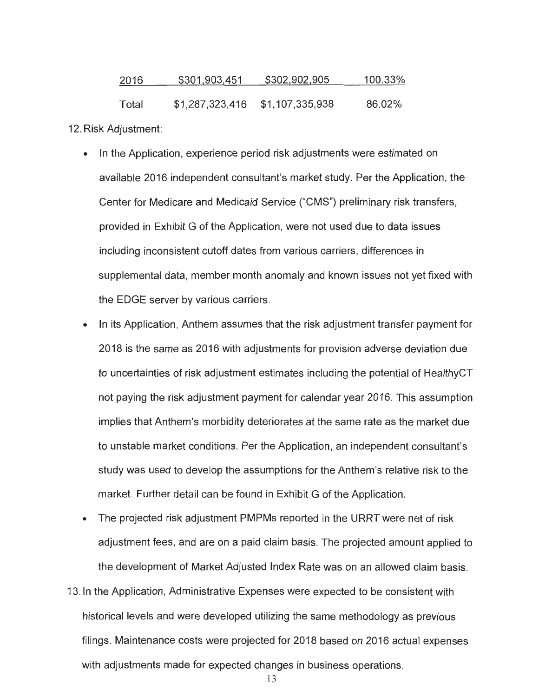| 2016  | \$301,903,451   | \$302,902,905   | 100.33% |
|-------|-----------------|-----------------|---------|
| Total | \$1,287,323,416 | \$1,107,335,938 | 86.02%  |

12. Risk Adjustment:

- In the Application, experience period risk adjustments were estimated on available 2016 independent consultant's market study. Per the Application , the Center for Medicare and Medicaid Service ("CMS ") preliminary risk transfers , provided in Exhibit G of the Application , were not used due to data issues including inconsistent cutoff dates from various carriers, differences in supplemental data , member month anomaly and known issues not yet fixed with the EDGE server by various carriers .
- In its Application, Anthem assumes that the risk adjustment transfer payment for 2018 is the same as 2016 with adjustments for provision adverse deviation due to uncertainties of risk adjustment estimates including the potential of HealthyCT not paying the risk adjustment payment for calendar year 2016 . This assumption implies that Anthem's morbidity deteriorates at the same rate as the market due to unstable market conditions . Per the Application, an independent consultant's study was used to develop the assumptions for the Anthem 's relative risk to the market. Further detail can be found in Exhibit G of the Application.
- The projected risk adjustment PMPMs reported in the URRT were net of risk adjustment fees, and are on a paid claim basis. The projected amount applied to the development of Market Adjusted Index Rate was on an allowed claim basis .
- 13 . In the Application, Administrative Expenses were expected to be consistent with historical levels and were developed utilizing the same methodology as previous filings. Maintenance costs were projected for 2018 based on 2016 actual expenses with adjustments made for expected changes in business operations.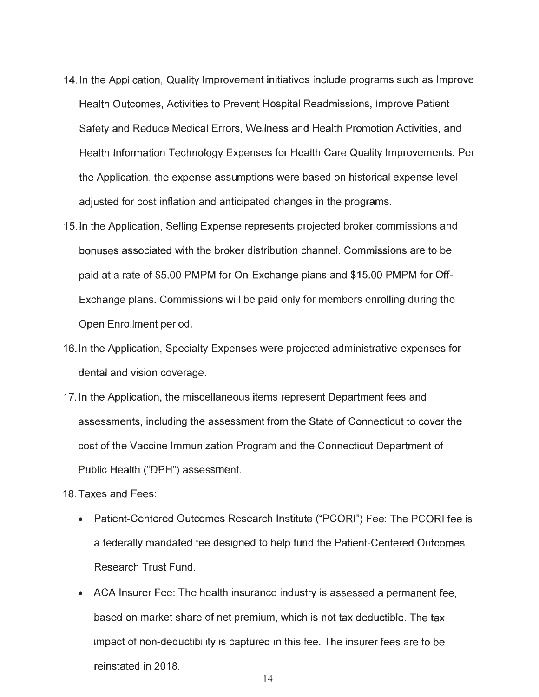- 14. In the Application, Quality Improvement initiatives include programs such as Improve Health Outcomes , Activities to Prevent Hospital Readmissions , Improve Patient Safety and Reduce Medical Errors, Wellness and Health Promotion Activities, and Health Information Technology Expenses for Health Care Quality Improvements. Per the Application, the expense assumptions were based on historical expense level adjusted for cost inflation and anticipated changes in the programs.
- 15. In the Application, Selling Expense represents projected broker commissions and bonuses associated with the broker distribution channel. Commissions are to be paid at a rate of \$5 .00 PMPM for On-Exchange plans and \$15.00 PMPM for Off-Exchange plans. Commissions will be paid only for members enrolling during the Open Enrollment period.
- 16. In the Application, Specialty Expenses were projected administrative expenses for dental and vision coverage.
- 17. In the Application, the miscellaneous items represent Department fees and assessments , including the assessment from the State of Connecticut to cover the cost of the Vaccine Immunization Program and the Connecticut Department of Public Health ("DPH") assessment.
- 18. Taxes and Fees:
	- Patient-Centered Outcomes Research Institute ("PCORI") Fee: The PCORI fee is a federally mandated fee designed to help fund the Patient-Centered Outcomes Research Trust Fund.
	- ACA Insurer Fee: The health insurance industry is assessed a permanent fee, based on market share of net premium , which is not tax deductible. The tax impact of non -deductibility is captured in this fee. The insurer fees are to be reinstated in 2018.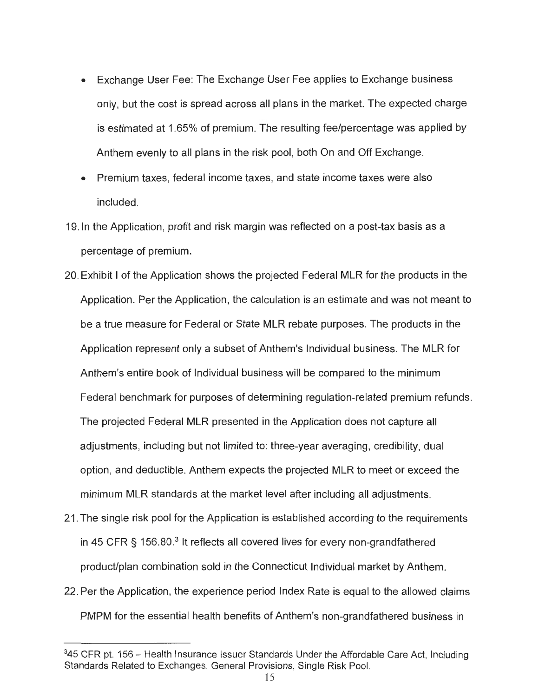- Exchange User Fee: The Exchange User Fee applies to Exchange business only, but the cost is spread across all plans in the market. The expected charge is estimated at 1.65% of premium. The resulting fee/percentage was applied by Anthem evenly to all plans in the risk pool, both On and Off Exchange.
- Premium taxes, federal income taxes, and state income taxes were also included.
- 19. In the Application, profit and risk margin was reflected on a post-tax basis as a percentage of premium.
- 20 . Exhibit I of the Application shows the projected Federal MLR for the products in the Application. Per the Application, the calculation is an estimate and was not meant to be a true measure for Federal or State MLR rebate purposes . The products in the Application represent only a subset of Anthem's Individual business . The MLR for Anthem's entire book of Individual business will be compared to the minimum Federal benchmark for purposes of determining regulation-related premium refunds . The projected Federal MLR presented in the Application does not capture all adjustments , including but not limited to: three-year averaging , credibility, dual option, and deductible. Anthem expects the projected MLR to meet or exceed the minimum MLR standards at the market level after including all adjustments.
- 21 . The single risk pool for the Application is established according to the requirements in 45 CFR  $\S$  156.80.<sup>3</sup> It reflects all covered lives for every non-grandfathered product/plan combination sold in the Connecticut Individual market by Anthem.
- 22 . Per the Application, the experience period Index Rate is equal to the allowed claims PMPM for the essential health benefits of Anthem's non-grandfathered business in

 $345$  CFR pt. 156 – Health Insurance Issuer Standards Under the Affordable Care Act, Including Standards Related to Exchanges, General Provisions, Single Risk Pool.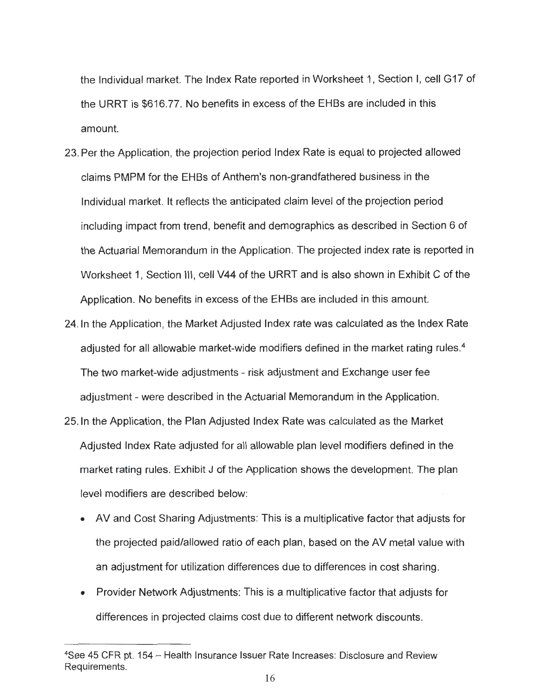the Individual market. The Index Rate reported in Worksheet 1, Section I, cell G17 of the URRT is \$616.77. No benefits in excess of the EHBs are included in this amount.

- 23 . Per the Application , the projection period Index Rate is equal to projected allowed claims PMPM for the EHBs of Anthem's non-grandfathered business in the Individual market. It reflects the anticipated claim level of the projection period including impact from trend, benefit and demographics as described in Section 6 of the Actuarial Memorandum in the Application. The projected index rate is reported in Worksheet 1, Section III, cell V44 of the URRT and is also shown in Exhibit C of the Application. No benefits in excess of the EHBs are included in this amount.
- 24. In the Application, the Market Adjusted Index rate was calculated as the Index Rate adjusted for all allowable market-wide modifiers defined in the market rating rules.<sup>4</sup> The two market-wide adjustments - risk adjustment and Exchange user fee adjustment - were described in the Actuarial Memorandum in the Application.
- 25. In the Application, the Plan Adjusted Index Rate was calculated as the Market Adjusted Index Rate adjusted for all allowable plan level modifiers defined in the market rating rules. Exhibit  $J$  of the Application shows the development. The plan level modifiers are described below:
	- AV and Cost Sharing Adjustments: This is a multiplicative factor that adjusts for the projected paid/allowed ratio of each plan, based on the AV metal value with an adjustment for utilization differences due to differences in cost sharing.
	- Provider Network Adjustments: This is a multiplicative factor that adjusts for differences in projected claims cost due to different network discounts .

<sup>4</sup>See 45 CFR pt. 154 - Health Insurance Issuer Rate Increases : Disclosure and Review Requirements.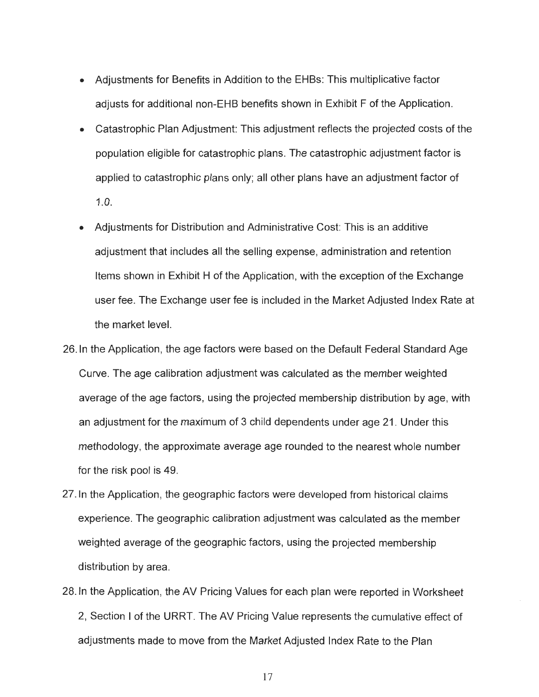- Adjustments for Benefits in Addition to the EHBs: This multiplicative factor adjusts for additional non-EHB benefits shown in Exhibit F of the Application .
- Catastrophic Plan Adjustment: This adjustment reflects the projected costs of the population eligible for catastrophic plans. The catastrophic adjustment factor is applied to catastrophic plans only; all other plans have an adjustment factor of 1.0.
- Adjustments for Distribution and Administrative Cost: This is an additive adjustment that includes all the selling expense, administration and retention Items shown in Exhibit H of the Application, with the exception of the Exchange user fee. The Exchange user fee is included in the Market Adjusted Index Rate at the market level.
- 26. In the Application, the age factors were based on the Default Federal Standard Age Curve. The age calibration adjustment was calculated as the member weighted average of the age factors, using the projected membership distribution by age, with an adjustment for the maximum of 3 child dependents under age 21 . Under this methodology, the approximate average age rounded to the nearest whole number for the risk pool is 49.
- 27. In the Application, the geographic factors were developed from historical claims experience. The geographic calibration adjustment was calculated as the member weighted average of the geographic factors, using the projected membership distribution by area.
- 28. In the Application, the AV Pricing Values for each plan were reported in Worksheet 2 , Section I of the URRT. The AV Pricing Value represents the cumulative effect of adjustments made to move from the Market Adjusted Index Rate to the Plan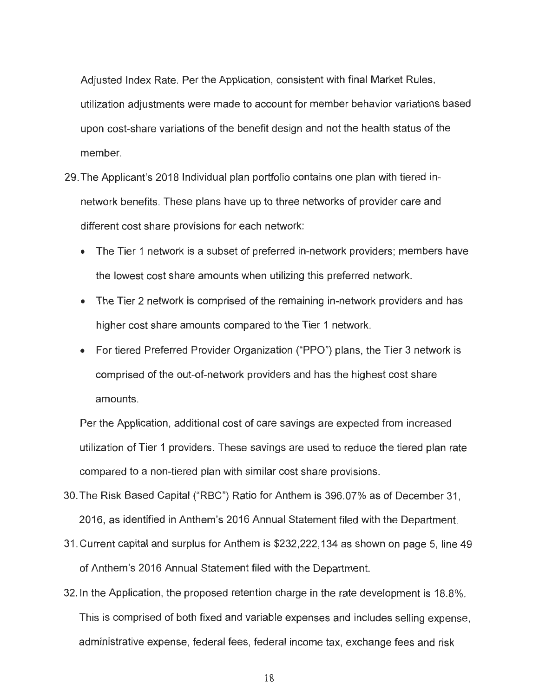Adjusted Index Rate. Per the Application, consistent with final Market Rules, utilization adjustments were made to account for member behavior variations based upon cost-share variations of the benefit design and not the health status of the member.

- 29 . The Applicant's 2018 Individual plan portfolio contains one plan with tiered innetwork benefits. These plans have up to three networks of provider care and different cost share provisions for each network:
	- The Tier 1 network is a subset of preferred in-network providers; members have the lowest cost share amounts when utilizing this preferred network .
	- The Tier 2 network is comprised of the remaining in-network providers and has higher cost share amounts compared to the Tier 1 network.
	- For tiered Preferred Provider Organization ("PPO") plans, the Tier 3 network is comprised of the out-of-network providers and has the highest cost share amounts.

Per the Application , additional cost of care savings are expected from increased utilization of Tier 1 providers. These savings are used to reduce the tiered plan rate compared to a non-tiered plan with similar cost share provisions.

- 30 . The Risk Based Capital ("RSC") Ratio for Anthem is 396.07% as of December 31 , 2016 , as identified in Anthem's 2016 Annual Statement filed with the Department.
- 31 . Current capital and surplus for Anthem is \$232 ,222 ,134 as shown on page 5, line 49 of Anthem's 2016 Annual Statement filed with the Department.
- 32. In the Application , the proposed retention charge in the rate development is 18.8%. This is comprised of both fixed and variable expenses and includes selling expense , administrative expense, federal fees, federal income tax, exchange fees and risk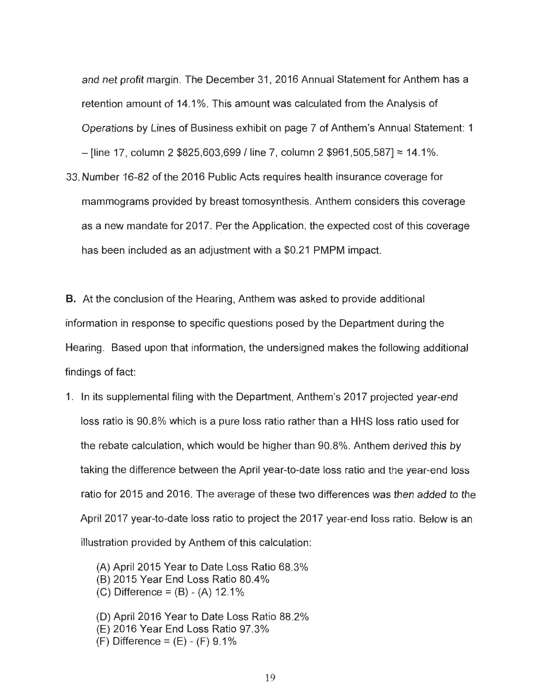and net profit margin. The December 31, 2016 Annual Statement for Anthem has a retention amount of 14.1 %. This amount was calculated from the Analysis of Operations by Lines of Business exhibit on page 7 of Anthem 's Annual Statement: 1  $-$  [line 17, column 2 \$825,603,699 / line 7, column 2 \$961,505,587] = 14.1%.

33 . Number 16-82 of the 2016 Public Acts requires health insurance coverage for mammograms provided by breast tomosynthesis . Anthem considers this coverage as a new mandate for 2017. Per the Application, the expected cost of this coverage has been included as an adjustment with a \$0.21 PMPM impact.

B. At the conclusion of the Hearing, Anthem was asked to provide additional information in response to specific questions posed by the Department during the Hearing. Based upon that information, the undersigned makes the following additional findings of fact:

1. In its supplemental filing with the Department, Anthem's 2017 projected year-end loss ratio is 90 .8% which is a pure loss ratio rather than a HHS loss ratio used for the rebate calculation, which would be higher than 90.8%. Anthem derived this by taking the difference between the April year-to-date loss ratio and the year-end loss ratio for 2015 and 2016. The average of these two differences was then added to the April 2017 year-to -date loss ratio to project the 2017 year-end loss ratio. Below is an illustration provided by Anthem of this calculation:

(A) April 2015 Year to Date Loss Ratio 68 .3% (B) 2015 Year End Loss Ratio 80.4% (C) Difference =  $(B) - (A)$  12.1%

(D) April 2016 Year to Date Loss Ratio 88.2% (E) 2016 Year End Loss Ratio 97 .3% (F) Difference =  $(E) - (F)$  9.1%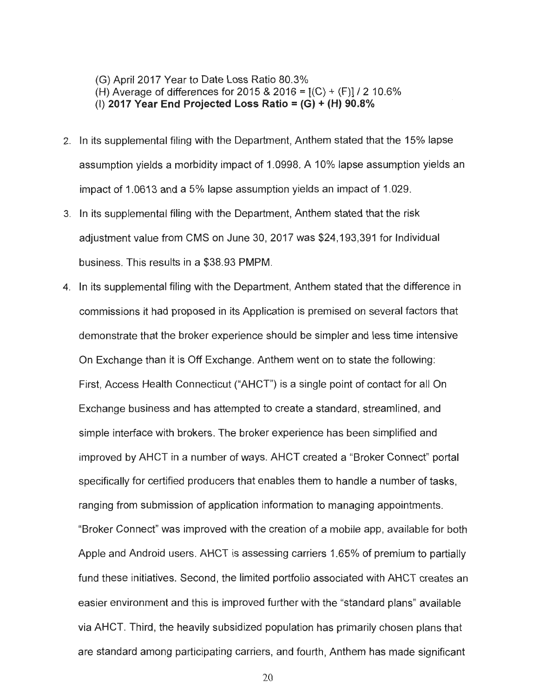(G) April 2017 Year to Date Loss Ratio 80.3% (H) Average of differences for 2015 & 2016 =  $[(C) + (F)] / 2$  10.6% (I) **2017 Year End Projected Loss Ratio= (G) + (H) 90.8%** 

- 2. In its supplemental filing with the Department, Anthem stated that the 15% lapse assumption yields a morbidity impact of 1.0998. A 10% lapse assumption yields an impact of 1.0613 and a 5% lapse assumption yields an impact of 1.029.
- 3. In its supplemental filing with the Department, Anthem stated that the risk adjustment value from CMS on June 30, 2017 was \$24 ,193,391 for Individual business. This results in a \$38.93 PMPM.
- 4. In its supplemental filing with the Department, Anthem stated that the difference in commissions it had proposed in its Application is premised on several factors that demonstrate that the broker experience should be simpler and less time intensive On Exchange than it is Off Exchange. Anthem went on to state the following: First, Access Health Connecticut ("AHCT") is a single point of contact for all On Exchange business and has attempted to create a standard, streamlined, and simple interface with brokers. The broker experience has been simplified and improved by AHCT in a number of ways . AHCT created a "Broker Connect" portal specifically for certified producers that enables them to handle a number of tasks, ranging from submission of application information to managing appointments. "Broker Connect" was improved with the creation of a mobile app , available for both Apple and Android users. AHCT is assessing carriers 1.65% of premium to partially fund these initiatives. Second, the limited portfolio associated with AHCT creates an easier environment and this is improved further with the "standard plans" available via AHCT. Third , the heavily subsidized population has primarily chosen plans that are standard among participating carriers , and fourth, Anthem has made significant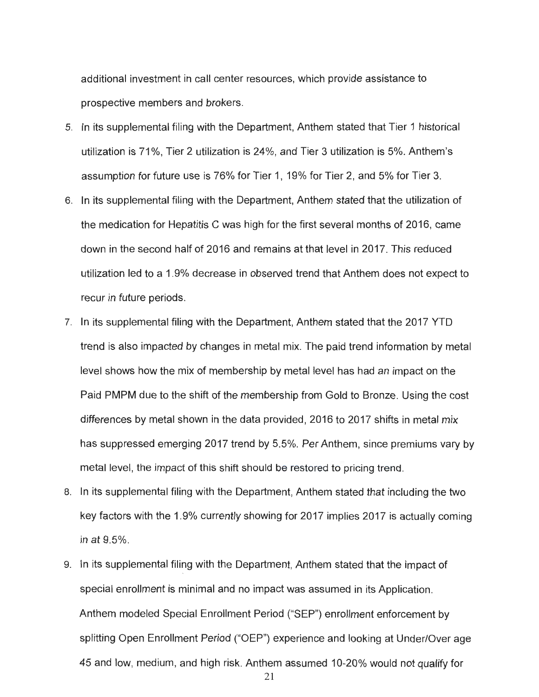additional investment in call center resources , which provide assistance to prospective members and brokers .

- 5. In its supplemental filing with the Department, Anthem stated that Tier 1 historical utilization is 71%. Tier 2 utilization is 24%, and Tier 3 utilization is 5%. Anthem's assumption for future use is 76% for Tier 1, 19% for Tier 2 , and 5% for Tier 3.
- 6. In its supplemental filing with the Department, Anthem stated that the utilization of the medication for Hepatitis C was high for the first several months of 2016 , came down in the second half of 2016 and remains at that level in 2017 . This reduced utilization led to a 1.9% decrease in observed trend that Anthem does not expect to recur in future periods .
- 7. In its supplemental filing with the Department, Anthem stated that the 2017 YTD trend is also impacted by changes in metal mix. The paid trend information by metal level shows how the mix of membership by metal level has had an impact on the Paid PMPM due to the shift of the membership from Gold to Bronze. Using the cost differences by metal shown in the data provided, 2016 to 2017 shifts in metal mix has suppressed emerging 2017 trend by 5.5%. Per Anthem, since premiums vary by metal level, the impact of this shift should be restored to pricing trend.
- 8. In its supplemental filing with the Department, Anthem stated that including the two key factors with the 1.9% currently showing for 2017 implies 2017 is actually coming in at 9.5% .
- 9. In its supplemental filing with the Department, Anthem stated that the impact of special enrollment is minimal and no impact was assumed in its Application. Anthem modeled Special Enrollment Period ("SEP") enrollment enforcement by splitting Open Enrollment Period ("OEP") experience and looking at Under/Over age 45 and low, medium , and high risk. Anthem assumed 10-20% would not qualify for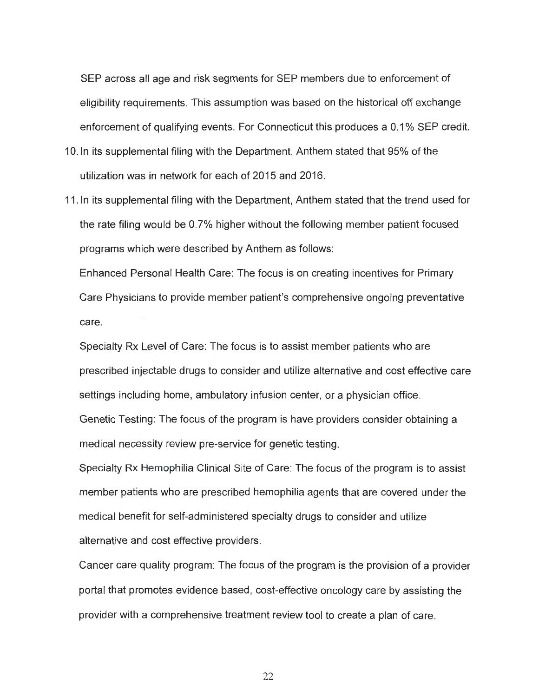SEP across all age and risk segments for SEP members due to enforcement of eligibility requirements . This assumption was based on the historical off exchange enforcement of qualifying events. For Connecticut this produces a 0.1% SEP credit.

- 1 O.In its supplemental filing with the Department, Anthem stated that 95% of the utilization was in network for each of 2015 and 2016 .
- 11. In its supplemental filing with the Department, Anthem stated that the trend used for the rate filing would be 0.7% higher without the following member patient focused programs which were described by Anthem as follows:

Enhanced Personal Health Care: The focus is on creating incentives for Primary Care Physicians to provide member patient's comprehensive ongoing preventative care.

Specialty Rx Level of Care: The focus is to assist member patients who are prescribed injectable drugs to consider and utilize alternative and cost effective care settings including home, ambulatory infusion center, or a physician office.

Genetic Testing: The focus of the program is have providers consider obtaining a medical necessity review pre-service for genetic testing.

Specialty Rx Hemophilia Clinical Site of Care: The focus of the program is to assist member patients who are prescribed hemophilia agents that are covered under the medical benefit for self-administered specialty drugs to consider and utilize alternative and cost effective providers.

Cancer care quality program: The focus of the program is the provision of a provider portal that promotes evidence based, cost-effective oncology care by assisting the provider with a comprehensive treatment review tool to create a plan of care.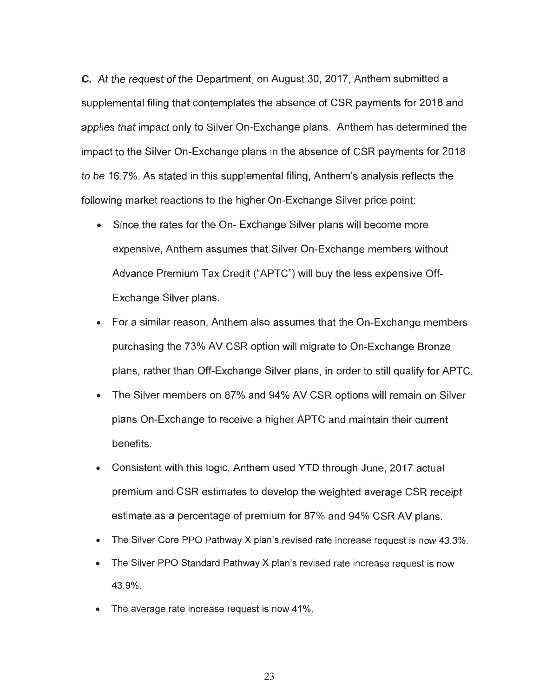C. At the request of the Department, on August 30, 2017 , Anthem submitted a supplemental filing that contemplates the absence of CSR payments for 2018 and applies that impact only to Silver On-Exchange plans. Anthem has determined the impact to the Silver On-Exchange plans in the absence of CSR payments for 2018 to be 16.7% . As stated in this supplemental filing , Anthem 's analysis reflects the following market reactions to the higher On-Exchange Silver price point:

- Since the rates for the On- Exchange Silver plans will become more expensive , Anthem assumes that Silver On-Exchange members without Advance Premium Tax Credit ("APTC ") will buy the less expensive Off-Exchange Silver plans.
- For a similar reason, Anthem also assumes that the On-Exchange members purchasing the 73% AV CSR option will migrate to On-Exchange Bronze plans, rather than Off-Exchange Silver plans, in order to still qualify for APTC.
- The Silver members on 87% and 94% AV CSR options will remain on Silver plans On-Exchange to receive a higher APTC and maintain their current benefits .
- Consistent with this logic, Anthem used YTD through June, 2017 actual premium and CSR estimates to develop the weighted average CSR receipt estimate as a percentage of premium for 87% and 94% CSR AV plans.
- The Silver Core PPO Pathway X plan's revised rate increase request is now 43.3%.
- The Silver PPO Standard Pathway X plan's revised rate increase request is now 43 .9% .
- The average rate increase request is now 41%.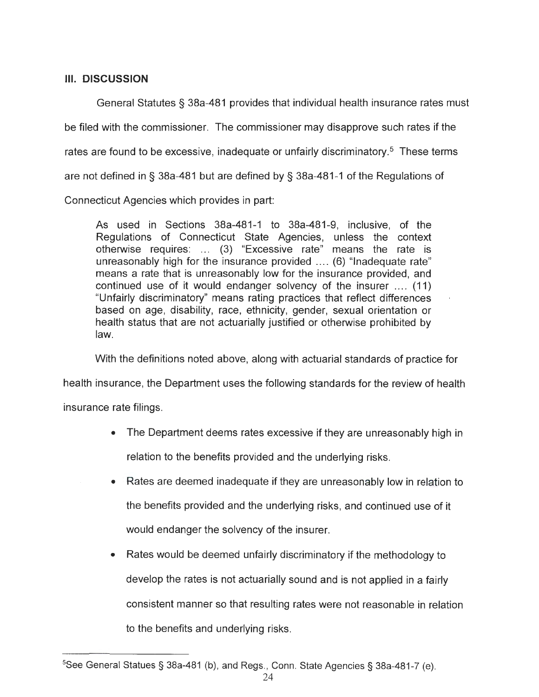## **Ill. DISCUSSION**

General Statutes§ 38a-481 provides that individual health insurance rates must be filed with the commissioner. The commissioner may disapprove such rates if the rates are found to be excessive, inadequate or unfairly discriminatory.<sup>5</sup> These terms are not defined in § 38a-481 but are defined by § 38a -481-1 of the Regulations of Connecticut Agencies which provides in part:

As used in Sections 38a-481-1 to 38a-481-9, inclusive, of the Regulations of Connecticut State Agencies, unless the context otherwise requires: ... (3) "Excessive rate" means the rate is unreasonably high for the insurance provided .... (6) "Inadequate rate " means a rate that is unreasonably low for the insurance provided, and continued use of it would endanger solvency of the insurer .... (11) "Unfairly discriminatory" means rating practices that reflect differences based on age, disability, race, ethnicity, gender, sexual orientation or health status that are not actuarially justified or otherwise prohibited by law.

With the definitions noted above, along with actuarial standards of practice for

health insurance , the Department uses the following standards for the review of health

insurance rate filings.

- The Department deems rates excessive if they are unreasonably high in relation to the benefits provided and the underlying risks.
- Rates are deemed inadequate if they are unreasonably low in relation to the benefits provided and the underlying risks , and continued use of it would endanger the solvency of the insurer.
- Rates would be deemed unfairly discriminatory if the methodology to develop the rates is not actuarially sound and is not applied in a fairly consistent manner so that resulting rates were not reasonable in relation to the benefits and underlying risks .

 $5$ See General Statues § 38a-481 (b), and Regs., Conn. State Agencies § 38a-481-7 (e).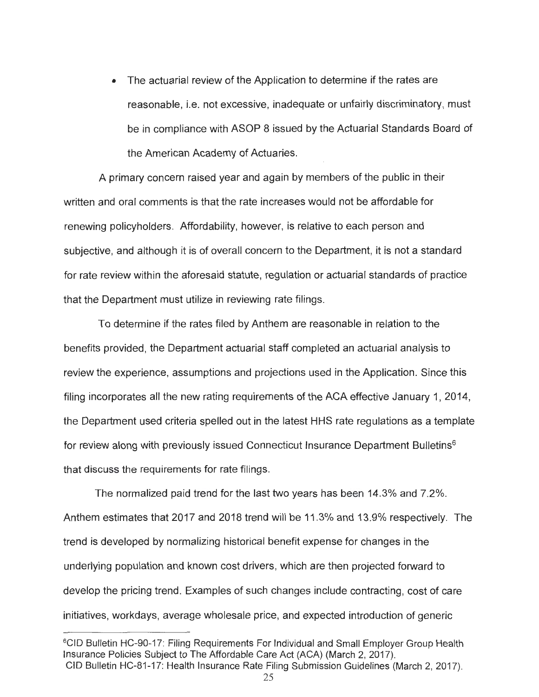• The actuarial review of the Application to determine if the rates are reasonable, i.e. not excessive, inadequate or unfairly discriminatory, must be in compliance with ASOP 8 issued by the Actuarial Standards Board of the American Academy of Actuaries .

A primary concern raised year and again by members of the public in their written and oral comments is that the rate increases would not be affordable for renewing policyholders. Affordability , however, is relative to each person and subjective, and although it is of overall concern to the Department, it is not a standard for rate review within the aforesaid statute, regulation or actuarial standards of practice that the Department must utilize in reviewing rate filings .

To determine if the rates filed by Anthem are reasonable in relation to the benefits provided , the Department actuarial staff completed an actuarial analysis to review the experience, assumptions and projections used in the Application. Since this filing incorporates all the new rating requirements of the ACA effective January 1, 2014 , the Department used criteria spelled out in the latest HHS rate regulations as a template for review along with previously issued Connecticut Insurance Department Bulletins<sup>6</sup> that discuss the requirements for rate filings.

The normalized paid trend for the last two years has been 14.3% and 7.2% . Anthem estimates that 2017 and 2018 trend will be 11 .3% and 13.9% respectively. The trend is developed by normalizing historical benefit expense for changes in the underlying population and known cost drivers , which are then projected forward to develop the pricing trend. Examples of such changes include contracting, cost of care initiatives, workdays, average wholesale price, and expected introduction of generic

<sup>6</sup> CID Bulletin HC-90-17: Filing Requirements For Individual and Small Employer Group Health Insurance Policies Subject to The Affordable Care Act (ACA) (March 2, 2017). CID Bulletin HC-81-17: Health Insurance Rate Filing Submission Guidelines (March 2, 2017).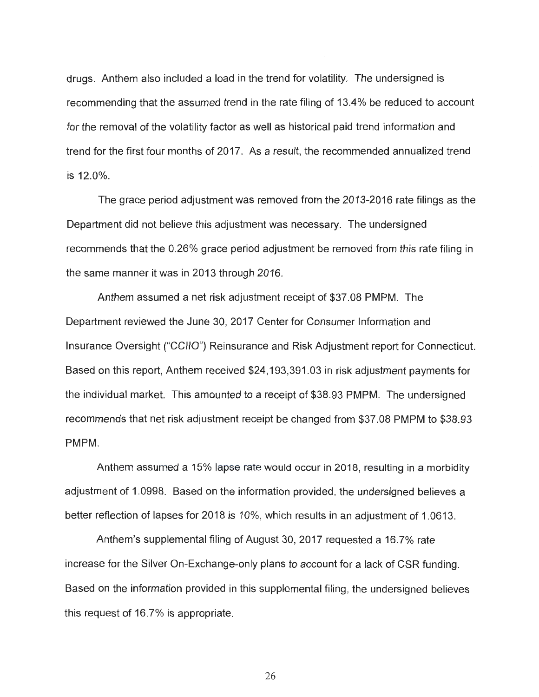drugs. Anthem also included a load in the trend for volatility . The undersigned is recommending that the assumed trend in the rate filing of 13.4% be reduced to account for the removal of the volatility factor as well as historical paid trend information and trend for the first four months of 2017 . As a result , the recommended annualized trend is 12.0% .

The grace period adjustment was removed from the 2013-2016 rate filings as the Department did not believe this adjustment was necessary. The undersigned recommends that the 0.26% grace period adjustment be removed from this rate filing in the same manner it was in 2013 through 2016.

Anthem assumed a net risk adjustment receipt of \$37.08 PMPM. The Department reviewed the June 30 , 2017 Center for Consumer Information and Insurance Oversight ("CCIIO") Reinsurance and Risk Adjustment report for Connecticut. Based on this report, Anthem received \$24,193,391.03 in risk adjustment payments for the individual market. This amounted to a receipt of \$38.93 PMPM. The undersigned recommends that net risk adjustment receipt be changed from \$37 .08 PMPM to \$38 .93 PMPM.

Anthem assumed a 15% lapse rate would occur in 2018 , resulting in a morbidity adjustment of 1.0998. Based on the information provided, the undersigned believes a better reflection of lapses for 2018 is 10% , which results in an adjustment of 1.0613.

Anthem 's supplemental filing of August 30, 2017 requested a 16.7% rate increase for the Silver On-Exchange-only plans to account for a lack of CSR funding. Based on the information provided in this supplemental filing , the undersigned believes this request of 16 .7% is appropriate .